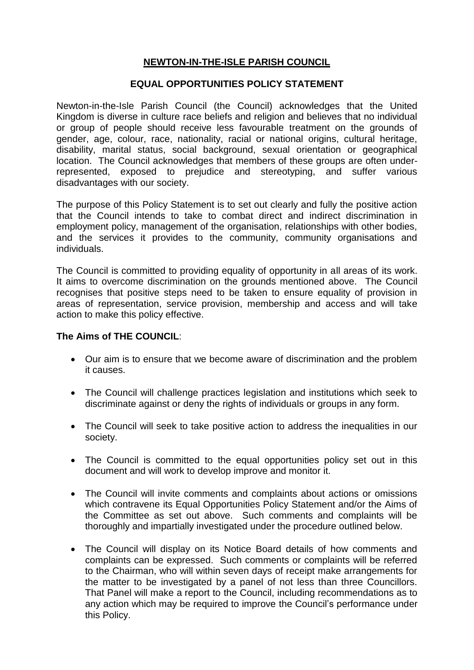# **NEWTON-IN-THE-ISLE PARISH COUNCIL**

#### **EQUAL OPPORTUNITIES POLICY STATEMENT**

Newton-in-the-Isle Parish Council (the Council) acknowledges that the United Kingdom is diverse in culture race beliefs and religion and believes that no individual or group of people should receive less favourable treatment on the grounds of gender, age, colour, race, nationality, racial or national origins, cultural heritage, disability, marital status, social background, sexual orientation or geographical location. The Council acknowledges that members of these groups are often underrepresented, exposed to prejudice and stereotyping, and suffer various disadvantages with our society.

The purpose of this Policy Statement is to set out clearly and fully the positive action that the Council intends to take to combat direct and indirect discrimination in employment policy, management of the organisation, relationships with other bodies, and the services it provides to the community, community organisations and individuals.

The Council is committed to providing equality of opportunity in all areas of its work. It aims to overcome discrimination on the grounds mentioned above. The Council recognises that positive steps need to be taken to ensure equality of provision in areas of representation, service provision, membership and access and will take action to make this policy effective.

#### **The Aims of THE COUNCIL**:

- Our aim is to ensure that we become aware of discrimination and the problem it causes.
- The Council will challenge practices legislation and institutions which seek to discriminate against or deny the rights of individuals or groups in any form.
- The Council will seek to take positive action to address the inequalities in our society.
- The Council is committed to the equal opportunities policy set out in this document and will work to develop improve and monitor it.
- The Council will invite comments and complaints about actions or omissions which contravene its Equal Opportunities Policy Statement and/or the Aims of the Committee as set out above. Such comments and complaints will be thoroughly and impartially investigated under the procedure outlined below.
- The Council will display on its Notice Board details of how comments and complaints can be expressed. Such comments or complaints will be referred to the Chairman, who will within seven days of receipt make arrangements for the matter to be investigated by a panel of not less than three Councillors. That Panel will make a report to the Council, including recommendations as to any action which may be required to improve the Council's performance under this Policy.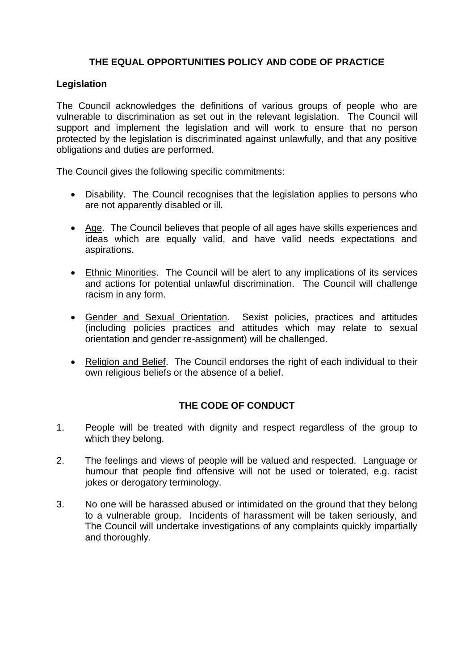# **THE EQUAL OPPORTUNITIES POLICY AND CODE OF PRACTICE**

#### **Legislation**

The Council acknowledges the definitions of various groups of people who are vulnerable to discrimination as set out in the relevant legislation. The Council will support and implement the legislation and will work to ensure that no person protected by the legislation is discriminated against unlawfully, and that any positive obligations and duties are performed.

The Council gives the following specific commitments:

- Disability. The Council recognises that the legislation applies to persons who are not apparently disabled or ill.
- Age.The Council believes that people of all ages have skills experiences and ideas which are equally valid, and have valid needs expectations and aspirations.
- Ethnic Minorities. The Council will be alert to any implications of its services and actions for potential unlawful discrimination. The Council will challenge racism in any form.
- Gender and Sexual Orientation. Sexist policies, practices and attitudes (including policies practices and attitudes which may relate to sexual orientation and gender re-assignment) will be challenged.
- Religion and Belief. The Council endorses the right of each individual to their own religious beliefs or the absence of a belief.

# **THE CODE OF CONDUCT**

- 1. People will be treated with dignity and respect regardless of the group to which they belong.
- 2. The feelings and views of people will be valued and respected. Language or humour that people find offensive will not be used or tolerated, e.g. racist jokes or derogatory terminology.
- 3. No one will be harassed abused or intimidated on the ground that they belong to a vulnerable group. Incidents of harassment will be taken seriously, and The Council will undertake investigations of any complaints quickly impartially and thoroughly.